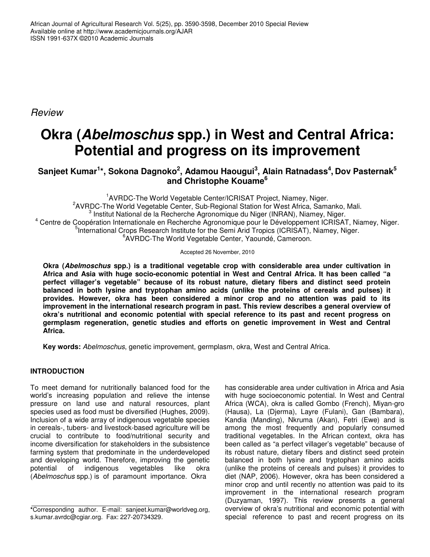*Review*

# **Okra (***Abelmoschus* **spp.) in West and Central Africa: Potential and progress on its improvement**

# Sanjeet Kumar<sup>1</sup>\*, Sokona Dagnoko<sup>2</sup>, Adamou Haougui<sup>3</sup>, Alain Ratnadass<sup>4</sup>, Dov Pasternak<sup>5</sup> **and Christophe Kouame 6**

<sup>1</sup>AVRDC-The World Vegetable Center/ICRISAT Project, Niamey, Niger. <sup>2</sup>AVRDC-The World Vegetable Center, Sub-Regional Station for West Africa, Samanko, Mali. 3 Institut National de la Recherche Agronomique du Niger (INRAN), Niamey, Niger. <sup>4</sup> Centre de Coopération Internationale en Recherche Agronomique pour le Développement ICRISAT, Niamey, Niger. <sup>5</sup>International Crops Research Institute for the Semi Arid Tropics (ICRISAT), Niamey, Niger. 6 AVRDC-The World Vegetable Center, Yaoundé, Cameroon.

Accepted 26 November, 2010

**Okra (***Abelmoschus* **spp.) is a traditional vegetable crop with considerable area under cultivation in Africa and Asia with huge socio-economic potential in West and Central Africa. It has been called "a perfect villager's vegetable" because of its robust nature, dietary fibers and distinct seed protein balanced in both lysine and tryptophan amino acids (unlike the proteins of cereals and pulses) it provides. However, okra has been considered a minor crop and no attention was paid to its improvement in the international research program in past. This review describes a general overview of okra's nutritional and economic potential with special reference to its past and recent progress on germplasm regeneration, genetic studies and efforts on genetic improvement in West and Central Africa.**

**Key words:** *Abelmoschus*, genetic improvement, germplasm, okra, West and Central Africa.

# **INTRODUCTION**

To meet demand for nutritionally balanced food for the world's increasing population and relieve the intense pressure on land use and natural resources, plant species used as food must be diversified (Hughes, 2009). Inclusion of a wide array of indigenous vegetable species in cereals-, tubers- and livestock-based agriculture will be crucial to contribute to food/nutritional security and income diversification for stakeholders in the subsistence farming system that predominate in the underdeveloped and developing world. Therefore, improving the genetic<br>potential of indigenous vegetables like okra potential of indigenous vegetables like okra (*Abelmoschus* spp.) is of paramount importance. Okra

has considerable area under cultivation in Africa and Asia with huge socioeconomic potential. In West and Central Africa (WCA), okra is called Gombo (French), Miyan-gro (Hausa), La (Djerma), Layre (Fulani), Gan (Bambara), Kandia (Manding), Nkruma (Akan), Fetri (Ewe) and is among the most frequently and popularly consumed traditional vegetables. In the African context, okra has been called as "a perfect villager's vegetable" because of its robust nature, dietary fibers and distinct seed protein balanced in both lysine and tryptophan amino acids (unlike the proteins of cereals and pulses) it provides to diet (NAP, 2006). However, okra has been considered a minor crop and until recently no attention was paid to its improvement in the international research program (Duzyaman, 1997). This review presents a general overview of okra's nutritional and economic potential with special reference to past and recent progress on its

**<sup>\*</sup>**Corresponding author. E-mail: sanjeet.kumar@worldveg.org, s.kumar.avrdc@cgiar.org. Fax: 227-20734329.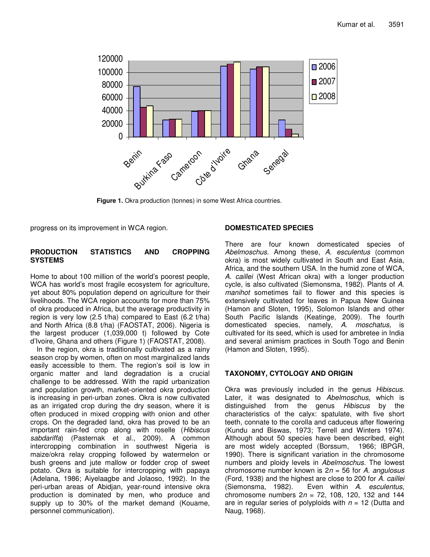

**Figure 1.** Okra production (tonnes) in some West Africa countries.

progress on its improvement in WCA region.

#### **PRODUCTION STATISTICS AND CROPPING SYSTEMS**

Home to about 100 million of the world's poorest people, WCA has world's most fragile ecosystem for agriculture, yet about 80% population depend on agriculture for their livelihoods. The WCA region accounts for more than 75% of okra produced in Africa, but the average productivity in region is very low (2.5 t/ha) compared to East (6.2 t/ha) and North Africa (8.8 t/ha) (FAOSTAT, 2006). Nigeria is the largest producer (1,039,000 t) followed by Cote d'Ivoire, Ghana and others (Figure 1) (FAOSTAT, 2008).

In the region, okra is traditionally cultivated as a rainy season crop by women, often on most marginalized lands easily accessible to them. The region's soil is low in organic matter and land degradation is a crucial challenge to be addressed. With the rapid urbanization and population growth, market-oriented okra production is increasing in peri-urban zones. Okra is now cultivated as an irrigated crop during the dry season, where it is often produced in mixed cropping with onion and other crops. On the degraded land, okra has proved to be an important rain-fed crop along with roselle (*Hibiscus sabdariffa*) (Pasternak et al., 2009). A common intercropping combination in southwest Nigeria is maize/okra relay cropping followed by watermelon or bush greens and jute mallow or fodder crop of sweet potato. Okra is suitable for intercropping with papaya (Adelana, 1986; Aiyelaagbe and Jolaoso, 1992). In the peri-urban areas of Abidjan, year-round intensive okra production is dominated by men, who produce and supply up to 30% of the market demand (Kouame, personnel communication).

#### **DOMESTICATED SPECIES**

There are four known domesticated species of *Abelmoschus*. Among these, *A. esculentus* (common okra) is most widely cultivated in South and East Asia, Africa, and the southern USA. In the humid zone of WCA, *A. caillei* (West African okra) with a longer production cycle, is also cultivated (Siemonsma, 1982). Plants of *A. manihot* sometimes fail to flower and this species is extensively cultivated for leaves in Papua New Guinea (Hamon and Sloten, 1995), Solomon Islands and other South Pacific Islands (Keatinge, 2009). The fourth domesticated species, namely, *A. moschatus,* is cultivated for its seed, which is used for ambretee in India and several animism practices in South Togo and Benin (Hamon and Sloten, 1995).

## **TAXONOMY, CYTOLOGY AND ORIGIN**

Okra was previously included in the genus *Hibiscus*. Later, it was designated to *Abelmoschus*, which is distinguished from the genus *Hibiscus* by the characteristics of the calyx: spatulate, with five short teeth, connate to the corolla and caduceus after flowering (Kundu and Biswas, 1973; Terrell and Winters 1974). Although about 50 species have been described, eight are most widely accepted (Borssum, 1966; IBPGR, 1990). There is significant variation in the chromosome numbers and ploidy levels in *Abelmoschus.* The lowest chromosome number known is 2*n* = 56 for *A. angulosus* (Ford, 1938) and the highest are close to 200 for *A. caillei* Even within *A. esculentus*, chromosome numbers 2*n* = 72, 108, 120, 132 and 144 are in regular series of polyploids with *n* = 12 (Dutta and Naug, 1968).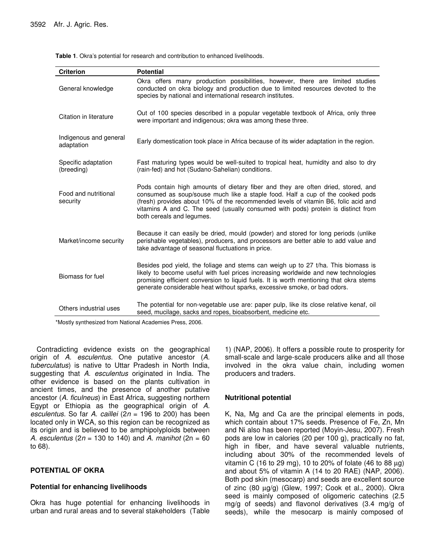| <b>Criterion</b>                     | <b>Potential</b>                                                                                                                                                                                                                                                                                                                                                         |
|--------------------------------------|--------------------------------------------------------------------------------------------------------------------------------------------------------------------------------------------------------------------------------------------------------------------------------------------------------------------------------------------------------------------------|
| General knowledge                    | Okra offers many production possibilities, however, there are limited studies<br>conducted on okra biology and production due to limited resources devoted to the<br>species by national and international research institutes.                                                                                                                                          |
| Citation in literature               | Out of 100 species described in a popular vegetable textbook of Africa, only three<br>were important and indigenous; okra was among these three.                                                                                                                                                                                                                         |
| Indigenous and general<br>adaptation | Early domestication took place in Africa because of its wider adaptation in the region.                                                                                                                                                                                                                                                                                  |
| Specific adaptation<br>(breeding)    | Fast maturing types would be well-suited to tropical heat, humidity and also to dry<br>(rain-fed) and hot (Sudano-Sahelian) conditions.                                                                                                                                                                                                                                  |
| Food and nutritional<br>security     | Pods contain high amounts of dietary fiber and they are often dried, stored, and<br>consumed as soup/souse much like a staple food. Half a cup of the cooked pods<br>(fresh) provides about 10% of the recommended levels of vitamin B6, folic acid and<br>vitamins A and C. The seed (usually consumed with pods) protein is distinct from<br>both cereals and legumes. |
| Market/income security               | Because it can easily be dried, mould (powder) and stored for long periods (unlike<br>perishable vegetables), producers, and processors are better able to add value and<br>take advantage of seasonal fluctuations in price.                                                                                                                                            |
| Biomass for fuel                     | Besides pod yield, the foliage and stems can weigh up to 27 t/ha. This biomass is<br>likely to become useful with fuel prices increasing worldwide and new technologies<br>promising efficient conversion to liquid fuels. It is worth mentioning that okra stems<br>generate considerable heat without sparks, excessive smoke, or bad odors.                           |
| Others industrial uses               | The potential for non-vegetable use are: paper pulp, like its close relative kenaf, oil<br>seed, mucilage, sacks and ropes, bioabsorbent, medicine etc.                                                                                                                                                                                                                  |

**Table 1**. Okra's potential for research and contribution to enhanced livelihoods.

\*Mostly synthesized from National Academies Press, 2006.

Contradicting evidence exists on the geographical origin of *A. esculentus*. One putative ancestor (*A. tuberculatus*) is native to Uttar Pradesh in North India, suggesting that *A. esculentus* originated in India. The other evidence is based on the plants cultivation in ancient times, and the presence of another putative ancestor (*A. ficulneus*) in East Africa, suggesting northern Egypt or Ethiopia as the geographical origin of *A. esculentus*. So far *A. caillei* (2*n* = 196 to 200) has been located only in WCA, so this region can be recognized as its origin and is believed to be amphipolyploids between *A. esculentus* (2*n* = 130 to 140) and *A. manihot* (2n = 60 to 68).

#### **POTENTIAL OF OKRA**

#### **Potential for enhancing livelihoods**

Okra has huge potential for enhancing livelihoods in urban and rural areas and to several stakeholders (Table

1) (NAP, 2006). It offers a possible route to prosperity for small-scale and large-scale producers alike and all those involved in the okra value chain, including women producers and traders.

## **Nutritional potential**

K, Na, Mg and Ca are the principal elements in pods, which contain about 17% seeds. Presence of Fe, Zn, Mn and Ni also has been reported (Moyin-Jesu, 2007). Fresh pods are low in calories (20 per 100 g), practically no fat, high in fiber, and have several valuable nutrients, including about 30% of the recommended levels of vitamin C (16 to 29 mg), 10 to 20% of folate (46 to 88  $\mu$ g) and about 5% of vitamin A (14 to 20 RAE) (NAP, 2006). Both pod skin (mesocarp) and seeds are excellent source of zinc (80 µg/g) (Glew, 1997; Cook et al., 2000). Okra seed is mainly composed of oligomeric catechins (2.5 mg/g of seeds) and flavonol derivatives (3.4 mg/g of seeds), while the mesocarp is mainly composed of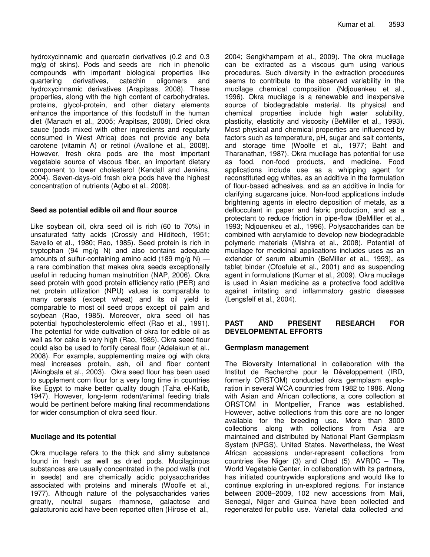hydroxycinnamic and quercetin derivatives (0.2 and 0.3 mg/g of skins). Pods and seeds are rich in phenolic compounds with important biological properties like quartering derivatives, catechin oligomers and hydroxycinnamic derivatives (Arapitsas, 2008). These properties, along with the high content of carbohydrates, proteins, glycol-protein, and other dietary elements enhance the importance of this foodstuff in the human diet (Manach et al., 2005; Arapitsas, 2008). Dried okra sauce (pods mixed with other ingredients and regularly consumed in West Africa) does not provide any beta carotene (vitamin A) or retinol (Avallone et al., 2008). However, fresh okra pods are the most important vegetable source of viscous fiber, an important dietary component to lower cholesterol (Kendall and Jenkins, 2004). Seven-days-old fresh okra pods have the highest concentration of nutrients (Agbo et al., 2008).

#### **Seed as potential edible oil and flour source**

Like soybean oil, okra seed oil is rich (60 to 70%) in unsaturated fatty acids (Crossly and Hilditech, 1951; Savello et al., 1980; Rao, 1985). Seed protein is rich in tryptophan (94 mg/g N) and also contains adequate amounts of sulfur-containing amino acid (189 mg/g N)  $$ a rare combination that makes okra seeds exceptionally useful in reducing human malnutrition (NAP, 2006). Okra seed protein with good protein efficiency ratio (PER) and net protein utilization (NPU) values is comparable to many cereals (except wheat) and its oil yield is comparable to most oil seed crops except oil palm and soybean (Rao, 1985). Moreover, okra seed oil has potential hypocholesterolemic effect (Rao et al., 1991). The potential for wide cultivation of okra for edible oil as well as for cake is very high (Rao, 1985). Okra seed flour could also be used to fortify cereal flour (Adelakun et al., 2008). For example, supplementing maize ogi with okra meal increases protein, ash, oil and fiber content (Akingbala et al., 2003). Okra seed flour has been used to supplement corn flour for a very long time in countries like Egypt to make better quality dough (Taha el-Katib, 1947). However, long-term rodent/animal feeding trials would be pertinent before making final recommendations for wider consumption of okra seed flour.

#### **Mucilage and its potential**

Okra mucilage refers to the thick and slimy substance found in fresh as well as dried pods. Mucilaginous substances are usually concentrated in the pod walls (not in seeds) and are chemically acidic polysaccharides associated with proteins and minerals (Woolfe et al., 1977). Although nature of the polysaccharides varies greatly, neutral sugars rhamnose, galactose and galacturonic acid have been reported often (Hirose et al.,

2004; Sengkhamparn et al., 2009). The okra mucilage can be extracted as a viscous gum using various procedures. Such diversity in the extraction procedures seems to contribute to the observed variability in the mucilage chemical composition (Ndjouenkeu et al., 1996). Okra mucilage is a renewable and inexpensive source of biodegradable material. Its physical and chemical properties include high water solubility, plasticity, elasticity and viscosity (BeMiller et al., 1993). Most physical and chemical properties are influenced by factors such as temperature, pH, sugar and salt contents, and storage time (Woolfe et al., 1977; Baht and Tharanathan, 1987). Okra mucilage has potential for use as food, non-food products, and medicine. Food applications include use as a whipping agent for reconstituted egg whites, as an additive in the formulation of flour-based adhesives, and as an additive in India for clarifying sugarcane juice. Non-food applications include brightening agents in electro deposition of metals, as a deflocculant in paper and fabric production, and as a protectant to reduce friction in pipe-flow (BeMiller et al., 1993; Ndjouenkeu et al., 1996). Polysaccharides can be combined with acrylamide to develop new biodegradable polymeric materials (Mishra et al., 2008). Potential of mucilage for medicinal applications includes uses as an extender of serum albumin (BeMiller et al., 1993), as tablet binder (Ofoefule et al., 2001) and as suspending agent in formulations (Kumar et al., 2009). Okra mucilage is used in Asian medicine as a protective food additive against irritating and inflammatory gastric diseases (Lengsfelf et al., 2004).

#### **PAST AND PRESENT RESEARCH FOR DEVELOPMENTAL EFFORTS**

#### **Germplasm management**

The Bioversity International in collaboration with the Institut de Recherche pour le Développement (IRD, formerly ORSTOM) conducted okra germplasm exploration in several WCA countries from 1982 to 1986. Along with Asian and African collections, a core collection at ORSTOM in Montpellier, France was established. However, active collections from this core are no longer available for the breeding use. More than 3000 collections along with collections from Asia are maintained and distributed by National Plant Germplasm System (NPGS), United States. Nevertheless, the West African accessions under-represent collections from countries like Niger (3) and Chad (5). AVRDC – The World Vegetable Center, in collaboration with its partners, has initiated countrywide explorations and would like to continue exploring in un-explored regions. For instance between 2008–2009, 102 new accessions from Mali, Senegal, Niger and Guinea have been collected and regenerated for public use. Varietal data collected and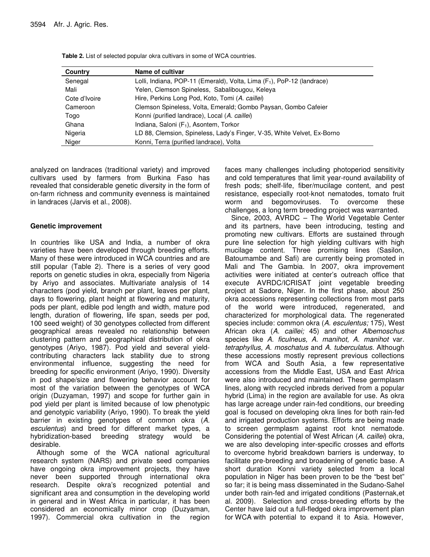| Country       | Name of cultivar                                                          |
|---------------|---------------------------------------------------------------------------|
| Senegal       | Lolli, Indiana, POP-11 (Emerald), Volta, Lima $(F_1)$ , PoP-12 (landrace) |
| Mali          | Yelen, Clemson Spineless, Sabalibougou, Keleya                            |
| Cote d'Ivoire | Hire, Perkins Long Pod, Koto, Tomi (A. caillei)                           |
| Cameroon      | Clemson Spineless, Volta, Emerald; Gombo Paysan, Gombo Cafeier            |
| Togo          | Konni (purified landrace), Local (A. caillei)                             |
| Ghana         | Indiana, Saloni (F <sub>1</sub> ), Asontem, Torkor                        |
| Nigeria       | LD 88, Clemsion, Spineless, Lady's Finger, V-35, White Velvet, Ex-Borno   |
| Niger         | Konni, Terra (purified landrace), Volta                                   |

**Table 2.** List of selected popular okra cultivars in some of WCA countries.

analyzed on landraces (traditional variety) and improved cultivars used by farmers from Burkina Faso has revealed that considerable genetic diversity in the form of on-farm richness and community evenness is maintained in landraces (Jarvis et al., 2008).

#### **Genetic improvement**

In countries like USA and India, a number of okra varieties have been developed through breeding efforts. Many of these were introduced in WCA countries and are still popular (Table 2). There is a series of very good reports on genetic studies in okra, especially from Nigeria by Ariyo and associates. Multivariate analysis of 14 characters (pod yield, branch per plant, leaves per plant, days to flowering, plant height at flowering and maturity, pods per plant, edible pod length and width, mature pod length, duration of flowering, life span, seeds per pod, 100 seed weight) of 30 genotypes collected from different geographical areas revealed no relationship between clustering pattern and geographical distribution of okra genotypes (Ariyo, 1987). Pod yield and several yieldcontributing characters lack stability due to strong environmental influence, suggesting the need for breeding for specific environment (Ariyo, 1990). Diversity in pod shape/size and flowering behavior account for most of the variation between the genotypes of WCA origin (Duzyaman, 1997) and scope for further gain in pod yield per plant is limited because of low phenotypic and genotypic variability (Ariyo, 1990). To break the yield barrier in existing genotypes of common okra (*A. esculentus*) and breed for different market types, a hybridization-based breeding strategy would be desirable.

Although some of the WCA national agricultural research system (NARS) and private seed companies have ongoing okra improvement projects, they have never been supported through international okra research. Despite okra's recognized potential and significant area and consumption in the developing world in general and in West Africa in particular, it has been considered an economically minor crop (Duzyaman, 1997). Commercial okra cultivation in the region faces many challenges including photoperiod sensitivity and cold temperatures that limit year-round availability of fresh pods; shelf-life, fiber/mucilage content, and pest resistance, especially root-knot nematodes, tomato fruit worm and begomoviruses. To overcome these challenges, a long term breeding project was warranted.

Since, 2003, AVRDC – The World Vegetable Center and its partners, have been introducing, testing and promoting new cultivars. Efforts are sustained through pure line selection for high yielding cultivars with high mucilage content. Three promising lines (Sasilon, Batoumambe and Safi) are currently being promoted in Mali and The Gambia. In 2007, okra improvement activities were initiated at center's outreach office that execute AVRDC/ICRISAT joint vegetable breeding project at Sadore, Niger. In the first phase, about 250 okra accessions representing collections from most parts of the world were introduced, regenerated, and characterized for morphological data. The regenerated species include: common okra (*A. esculentus;* 175), West African okra (*A. caillei;* 45) and other *Albemoschus* species like *A. ficulneus, A. manihot, A. manihot* var. *tetraphyllus, A. moschatus* and *A. tuberculatus*. Although these accessions mostly represent previous collections from WCA and South Asia, a few representative accessions from the Middle East, USA and East Africa were also introduced and maintained. These germplasm lines, along with recycled inbreds derived from a popular hybrid (Lima) in the region are available for use. As okra has large acreage under rain-fed conditions, our breeding goal is focused on developing okra lines for both rain-fed and irrigated production systems. Efforts are being made to screen germplasm against root knot nematode. Considering the potential of West African (*A. caillei*) okra, we are also developing inter-specific crosses and efforts to overcome hybrid breakdown barriers is underway, to facilitate pre-breeding and broadening of genetic base. A short duration Konni variety selected from a local population in Niger has been proven to be the "best bet" so far; it is being mass disseminated in the Sudano-Sahel under both rain-fed and irrigated conditions (Pasternak,et al. 2009). Selection and cross-breeding efforts by the Center have laid out a full-fledged okra improvement plan for WCA with potential to expand it to Asia. However,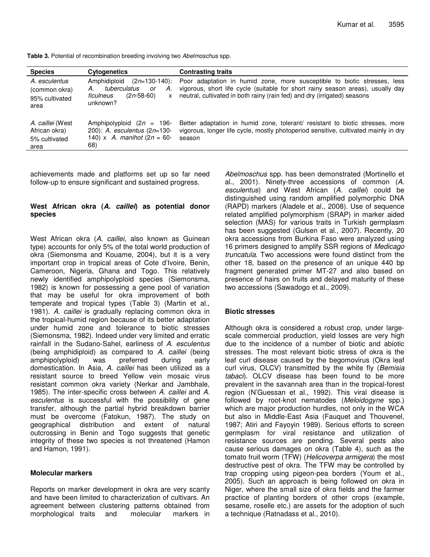**Table 3.** Potential of recombination breeding involving two *Abelmoschus* spp.

| <b>Species</b>                                             | <b>Cytogenetics</b>                                                                                              | <b>Contrasting traits</b>                                                                                                                                                                                                               |
|------------------------------------------------------------|------------------------------------------------------------------------------------------------------------------|-----------------------------------------------------------------------------------------------------------------------------------------------------------------------------------------------------------------------------------------|
| A. esculentus<br>(common okra)<br>95% cultivated<br>area   | Amphidiploid<br>$(2n=130-140)$ :<br>tuberculatus<br>А.<br>А.<br>or<br>$(2n-58-60)$<br>ficulneus<br>X<br>unknown? | Poor adaptation in humid zone, more susceptible to biotic stresses, less<br>vigorous, short life cycle (suitable for short rainy season areas), usually day<br>neutral, cultivated in both rainy (rain fed) and dry (irrigated) seasons |
| A. caillei (West<br>African okra)<br>5% cultivated<br>area | Amphipolyploid $(2n = 196$<br>200): A. esculentus (2n=130-<br>140) x A. manihot $(2n = 60 -$<br>68)              | Better adaptation in humid zone, tolerant/ resistant to biotic stresses, more<br>vigorous, longer life cycle, mostly photoperiod sensitive, cultivated mainly in dry<br>season                                                          |

achievements made and platforms set up so far need follow-up to ensure significant and sustained progress.

#### **West African okra (***A. caillei***) as potential donor species**

West African okra (*A. caillei*, also known as Guinean type) accounts for only 5% of the total world production of okra (Siemonsma and Kouame, 2004), but it is a very important crop in tropical areas of Cote d'Ivoire, Benin, Cameroon, Nigeria, Ghana and Togo. This relatively newly identified amphipolyploid species (Siemonsma, 1982) is known for possessing a gene pool of variation that may be useful for okra improvement of both temperate and tropical types (Table 3) (Martin et al., 1981). *A. caillei* is gradually replacing common okra in the tropical-humid region because of its better adaptation under humid zone and tolerance to biotic stresses (Siemonsma, 1982). Indeed under very limited and erratic rainfall in the Sudano-Sahel, earliness of *A. esculentus* (being amphidiploid) as compared to *A. caillei* (being amphipolyploid) was preferred during early domestication. In Asia, *A. caillei* has been utilized as a resistant source to breed Yellow vein mosaic virus resistant common okra variety (Nerkar and Jambhale, 1985). The inter-specific cross between *A. caillei* and *A. esculentus* is successful with the possibility of gene transfer, although the partial hybrid breakdown barrier must be overcome (Fatokun, 1987). The study on geographical distribution and extent of natural outcrossing in Benin and Togo suggests that genetic integrity of these two species is not threatened (Hamon and Hamon, 1991).

#### **Molecular markers**

Reports on marker development in okra are very scanty and have been limited to characterization of cultivars. An agreement between clustering patterns obtained from morphological traits and molecular markers in *Abelmoschus* spp. has been demonstrated (Mortinello et al., 2001). Ninety-three accessions of common (*A. esculentus*) and West African (*A. caillei*) could be distinguished using random amplified polymorphic DNA (RAPD) markers (Aladele et al., 2008). Use of sequence related amplified polymorphism (SRAP) in marker aided selection (MAS) for various traits in Turkish germplasm has been suggested (Gulsen et al., 2007). Recently, 20 okra accessions from Burkina Faso were analyzed using 16 primers designed to amplify SSR regions of *Medicago truncatula*. Two accessions were found distinct from the other 18, based on the presence of an unique 440 bp fragment generated primer MT-27 and also based on presence of hairs on fruits and delayed maturity of these two accessions (Sawadogo et al., 2009).

#### **Biotic stresses**

Although okra is considered a robust crop, under largescale commercial production, yield losses are very high due to the incidence of a number of biotic and abiotic stresses. The most relevant biotic stress of okra is the leaf curl disease caused by the begomovirus (Okra leaf curl virus, OLCV) transmitted by the white fly (*Bemisia tabaci*). OLCV disease has been found to be more prevalent in the savannah area than in the tropical-forest region (N'Guessan et al., 1992). This viral disease is followed by root-knot nematodes (*Meloidogyne* spp.) which are major production hurdles, not only in the WCA but also in Middle-East Asia (Fauquet and Thouvenel, 1987; Atiri and Fayoyin 1989). Serious efforts to screen germplasm for viral resistance and utilization of resistance sources are pending. Several pests also cause serious damages on okra (Table 4), such as the tomato fruit worm (TFW) (*Helicoverpa armigera*) the most destructive pest of okra. The TFW may be controlled by trap cropping using pigeon-pea borders (Youm et al., 2005). Such an approach is being followed on okra in Niger, where the small size of okra fields and the farmer practice of planting borders of other crops (example, sesame, roselle etc.) are assets for the adoption of such a technique (Ratnadass et al., 2010).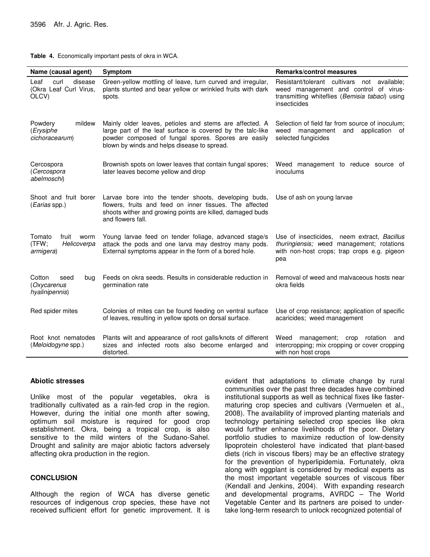**Table 4.** Economically important pests of okra in WCA.

| Name (causal agent)                                          | <b>Symptom</b>                                                                                                                                                                                                              | <b>Remarks/control measures</b>                                                                                                                              |  |
|--------------------------------------------------------------|-----------------------------------------------------------------------------------------------------------------------------------------------------------------------------------------------------------------------------|--------------------------------------------------------------------------------------------------------------------------------------------------------------|--|
| Leaf<br>curl<br>disease<br>(Okra Leaf Curl Virus,<br>OLCV)   | Green-yellow mottling of leave, turn curved and irregular,<br>plants stunted and bear yellow or wrinkled fruits with dark<br>spots.                                                                                         | Resistant/tolerant cultivars<br>not<br>available;<br>weed management and control of virus-<br>transmitting whiteflies (Bemisia tabaci) using<br>insecticides |  |
| Powdery<br>mildew<br>(Erysiphe<br>cichoracearum)             | Mainly older leaves, petioles and stems are affected. A<br>large part of the leaf surface is covered by the talc-like<br>powder composed of fungal spores. Spores are easily<br>blown by winds and helps disease to spread. | Selection of field far from source of inoculum:<br>weed management and<br>application of<br>selected fungicides                                              |  |
| Cercospora<br>(Cercospora<br>abelmoschi)                     | Brownish spots on lower leaves that contain fungal spores;<br>later leaves become yellow and drop                                                                                                                           | Weed management to reduce source of<br>inoculums                                                                                                             |  |
| Shoot and fruit borer<br>( <i>Earias</i> spp.)               | Larvae bore into the tender shoots, developing buds,<br>flowers, fruits and feed on inner tissues. The affected<br>shoots wither and growing points are killed, damaged buds<br>and flowers fall.                           | Use of ash on young larvae                                                                                                                                   |  |
| Tomato<br>fruit<br>worm<br>(TFW;<br>Helicoverpa<br>armigera) | Young larvae feed on tender foliage, advanced stage/s<br>attack the pods and one larva may destroy many pods.<br>External symptoms appear in the form of a bored hole.                                                      | Use of insecticides, neem extract, Bacillus<br>thuringiensis; weed management; rotations<br>with non-host crops; trap crops e.g. pigeon<br>pea               |  |
| Cotton<br>seed<br>bug<br>(Oxycarenus<br>hyalinipennis)       | Feeds on okra seeds. Results in considerable reduction in<br>germination rate                                                                                                                                               | Removal of weed and malvaceous hosts near<br>okra fields                                                                                                     |  |
| Red spider mites                                             | Colonies of mites can be found feeding on ventral surface<br>of leaves, resulting in yellow spots on dorsal surface.                                                                                                        | Use of crop resistance; application of specific<br>acaricides; weed management                                                                               |  |
| Root knot nematodes<br>(Meloidogyne spp.)                    | Plants wilt and appearance of root galls/knots of different<br>sizes and infected roots also become enlarged and<br>distorted.                                                                                              | Weed management; crop<br>rotation<br>and<br>intercropping; mix cropping or cover cropping<br>with non host crops                                             |  |

#### **Abiotic stresses**

Unlike most of the popular vegetables, okra is traditionally cultivated as a rain-fed crop in the region. However, during the initial one month after sowing, optimum soil moisture is required for good crop establishment. Okra, being a tropical crop, is also sensitive to the mild winters of the Sudano-Sahel. Drought and salinity are major abiotic factors adversely affecting okra production in the region.

#### **CONCLUSION**

Although the region of WCA has diverse genetic resources of indigenous crop species, these have not received sufficient effort for genetic improvement. It is

evident that adaptations to climate change by rural communities over the past three decades have combined institutional supports as well as technical fixes like fastermaturing crop species and cultivars (Vermuelen et al., 2008). The availability of improved planting materials and technology pertaining selected crop species like okra would further enhance livelihoods of the poor. Dietary portfolio studies to maximize reduction of low-density lipoprotein cholesterol have indicated that plant-based diets (rich in viscous fibers) may be an effective strategy for the prevention of hyperlipidemia. Fortunately, okra along with eggplant is considered by medical experts as the most important vegetable sources of viscous fiber (Kendall and Jenkins, 2004). With expanding research and developmental programs, AVRDC – The World Vegetable Center and its partners are poised to undertake long-term research to unlock recognized potential of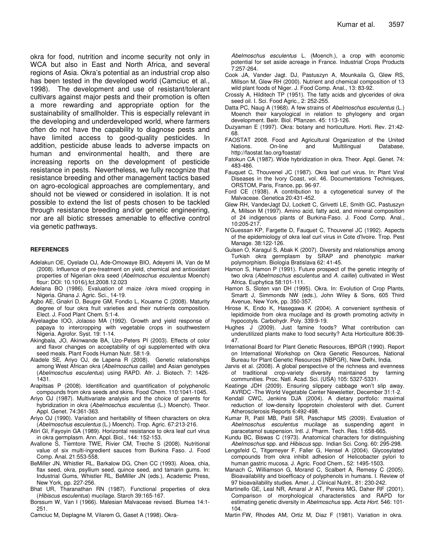okra for food, nutrition and income security not only in WCA but also in East and North Africa, and several regions of Asia. Okra's potential as an industrial crop also has been tested in the developed world (Camciuc et al., 1998). The development and use of resistant/tolerant cultivars against major pests and their promotion is often a more rewarding and appropriate option for the sustainability of smallholder. This is especially relevant in the developing and underdeveloped world, where farmers often do not have the capability to diagnose pests and have limited access to good-quality pesticides. In addition, pesticide abuse leads to adverse impacts on human and environmental health, and there are increasing reports on the development of pesticide resistance in pests. Nevertheless, we fully recognize that resistance breeding and other management tactics based on agro-ecological approaches are complementary, and should not be viewed or considered in isolation. It is not possible to extend the list of pests chosen to be tackled through resistance breeding and/or genetic engineering, nor are all biotic stresses amenable to effective control via genetic pathways.

#### **REFERENCES**

- Adelakun OE, Oyelade OJ, Ade-Omowaye BIO, Adeyemi IA, Van de M (2008). Influence of pre-treatment on yield, chemical and antioxidant properties of Nigerian okra seed (*Abelmoschus esculentus* Moench) flour: DOI: 10.1016/j.fct.2008.12.023
- Adelana BO (1986). Evaluation of maize /okra mixed cropping in Nigeria. Ghana J. Agric. Sci., 14-19.
- Agbo AE, Gnakri D, Beugre GM, Fondio L, Kouame C (2008). Maturity degree of four okra fruit varieties and their nutrients composition. Elect. J. Food Plant Chem. 5:1-4.
- Aiyelaagbe IOO, Jolaoso MA (1992). Growth and yield response of papaya to intercropping with vegetable crops in southwestern Nigeria. Agrofor. Syst. 19: 1-14.
- Akingbala, JO, Akinwande BA, Uzo-Peters PI (2003). Effects of color and flavor changes on acceptability of ogi supplemented with okra seed meals. Plant Foods Human Nutr. 58:1-9.
- Aladele SE, Ariyo OJ, de Lapena R (2008). Genetic relationships among West African okra (*Abelmoschus caillei*) and Asian genotypes (*Abelmoschus esculentus*) using RAPD. Afr. J. Biotech. 7: 1426- 1431.
- Arapitsas P (2008). Identification and quantification of polyphenolic compounds from okra seeds and skins. Food Chem. 110:1041-1045.
- Ariyo OJ (1987). Multivariate analysis and the choice of parents for hybridization in okra (*Abelmoschus esculentus* (L.) Moench). Theor. Appl. Genet. 74:361-363.
- Ariyo OJ (1990). Variation and heritability of fifteen characters on okra (*Abelmoschus esculentus* (L.) Moench). Trop. Agric. 67:213-216.
- Atiri GI, Fayoyin GA (1989). Horizontal resistance to okra leaf curl virus in okra germplasm. Ann. Appl. Biol., 144: 152-153.
- Avallone S, Tiemtore TWE, Rivier CM, Treche S (2008). Nutritional value of six multi-ingredient sauces from Burkina Faso. J. Food Comp. Anal. 21:553-558.
- BeMiller JN, Whistler RL, Barkalow DG, Chen CC (1993). Aloea, chia, flax seed, okra, psyllium seed, quince seed, and tamarin gums. In: Industrial Gums, Whistler RL, BeMiller JN (eds.), Academic Press, New York, pp. 227-256.
- Bhat UR, Tharanathan RN (1987). Functional properties of okra (*Hibiscus esculentus*) mucilage. Starch 39:165-167.
- Borssum W, Van I (1966). Malesian Malvaceae revised. Blumea 14:1- 251.
- Camciuc M, Deplagne M, Vilarem G, Gaset A (1998). Okra-

*Abelmoschus esculentus* L. (Moench.), a crop with economic potential for set aside acreage in France. Industrial Crops Products 7:257-264.

- Cook JA, Vander Jagt. DJ, Pastuszyn A, Mounkaila G, Glew RS, Millson M, Glew RH (2000). Nutrient and chemical composition of 13 wild plant foods of Niger. J. Food Comp. Anal., 13: 83-92.
- Crossly A, Hilditech TP (1951). The fatty acids and glycerides of okra seed oil. I. Sci. Food Agric., 2: 252-255.
- Datta PC, Naug A (1968). A few strains of *Abelmoschus esculentus* (L.) Moench their karyological in relation to phylogeny and organ development. Beitr. Biol. Pflanzen. 45: 113-126.
- Duzyaman E (1997). Okra: botany and horticulture. Horti. Rev. 21:42- 68.
- FAOSTAT 2008. Food and Agricultural Organization of the United Nations. On-line and Multilingual Database, http://faostat.fao.org/foastat/
- Fatokun CA (1987). Wide hybridization in okra. Theor. Appl. Genet. 74: 483-486.
- Fauquet C, Thouvenel JC (1987). Okra leaf curl virus. In: Plant Viral Diseases in the Ivory Coast, vol. 46. Documentations Techniques, ORSTOM, Paris, France, pp. 96-97.
- Ford CE (1938). A contribution to a cytogenetical survey of the Malvaceae. Genetica 20:431-452.
- Glew RH, VanderJagt DJ, Lockett C, Grivetti LE, Smith GC, Pastuszyn A, Millson M (1997). Amino acid, fatty acid, and mineral composition of 24 indigenous plants of Burkina-Faso. J. Food Comp. Anal., 10:205-217.
- N'Guessan KP, Fargette D, Fauquet C, Thouvenel JC (1992). Aspects of the epidemiology of okra leaf curl virus in Cote d'Ivoire. Trop. Pest Manage. 38:122-126.
- Gulsen O, Karagul S, Abak K (2007). Diversity and relationships among Turkish okra germplasm by SRAP and phenotypic marker polymorphism. Biologia Bratislava 62: 41-45.
- Hamon S, Hamon P (1991). Future prospect of the genetic integrity of two okra (*Abelmoschus esculentus* and *A. caillei*) cultivated in West Africa. Euphytica 58:101-111.
- Hamon S, Sloten van DH (1995). Okra. In: Evolution of Crop Plants, Smartt J, Simmonds NW (eds.), John Wiley & Sons, 605 Third Avenue, New York, pp. 350-357.
- Hirose K, Endo K, Hasegawa K (2004). A convenient synthesis of lepidimoide from okra mucilage and its growth promoting activity in hypocotyls. Carbohydr. Poly. 339:9-19.
- Hughes J (2009). Just famine foods? What contribution can underutilized plants make to food security? Acta Horticulture 806:39- 47.
- International Board for Plant Genetic Resources, IBPGR (1990). Report on International Workshop on Okra Genetic Resources, National Bureau for Plant Genetic Resources (NBPGR), New Delhi, India.
- Jarvis et al. (2008). A global perspective of the richness and evenness of traditional crop-variety diversity maintained by farming communities. Proc. Natl. Acad. Sci. (USA) 105: 5327-5331.
- Keatinge JDH (2009). Ensuring slippery cabbage won't slip away. AVRDC -The World Vegetable Center Newsletter, December 31:1-2.
- Kendall CWC, Jenkins DJA (2004). A dietary portfolio: maximal reduction of low-density lipoprotein cholesterol with diet. Current Atherosclerosis Reports 6:492-498.
- Kumar R, Patil MB, Patil SR, Paschapur MS (2009). Evaluation of *Abelmoschus esculentus* mucilage as suspending agent in paracetamol suspension. Intl. J. Pharm. Tech. Res. 1:658-665.
- Kundu BC, Biswas C (1973). Anatomical characters for distinguishing *Abelmoschus* spp. and *Hibiscus* spp. Indian Sci. Cong. 60: 295-298.
- Lengsfeld C, Titgemeyer F, Faller G, Hensel A (2004). Glycosylated compounds from okra inhibit adhesion of Helicobacter pylori to human gastric mucosa. J. Agric. Food Chem., 52: 1495-1503.
- Manach C, Williamson G, Morand C, Scalbert A, Remesy C (2005). Bioavailability and bioefficacy of polyphenols in humans. I. Review of 97 bioavailability studies. Amer. J. Clinical Nutrit., 81: 230-242.
- Martinello GE, Leal NR, Amaral Jr AT, Pereira MG, Daher RF (2001). Comparison of morphological characteristics and RAPD for estimating genetic diversity in *Abelmoschus* spp. *Acta Hort*. 546: 101- 104.

Martin FW, Rhodes AM, Ortiz M, Diaz F (1981). Variation in okra.